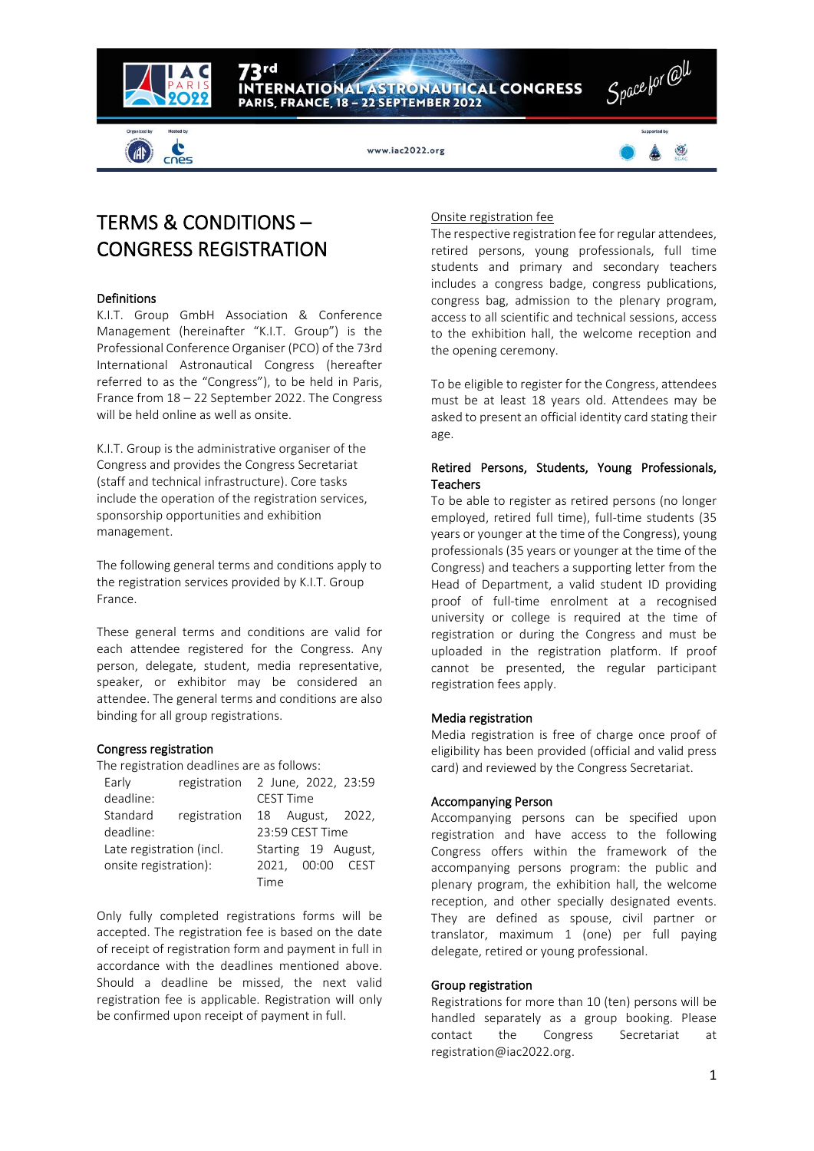

cnes

www.iac2022.org

PARIS, FRANCE, 18 - 22 SEPTEMBER 2022

ERNATIONAL ASTRONAUTICAL CONGRESS



# TERMS & CONDITIONS – CONGRESS REGISTRATION

## Definitions

K.I.T. Group GmbH Association & Conference Management (hereinafter "K.I.T. Group") is the Professional Conference Organiser (PCO) of the 73rd International Astronautical Congress (hereafter referred to as the "Congress"), to be held in Paris, France from 18 – 22 September 2022. The Congress will be held online as well as onsite.

K.I.T. Group is the administrative organiser of the Congress and provides the Congress Secretariat (staff and technical infrastructure). Core tasks include the operation of the registration services, sponsorship opportunities and exhibition management.

The following general terms and conditions apply to the registration services provided by K.I.T. Group France.

These general terms and conditions are valid for each attendee registered for the Congress. Any person, delegate, student, media representative, speaker, or exhibitor may be considered an attendee. The general terms and conditions are also binding for all group registrations.

## Congress registration

The registration deadlines are as follows:

| Early                    | registration 2 June, 2022, 23:59 |                     |           |             |                  |  |
|--------------------------|----------------------------------|---------------------|-----------|-------------|------------------|--|
| deadline:                |                                  |                     | CEST Time |             |                  |  |
| Standard                 | registration                     |                     |           |             | 18 August, 2022, |  |
| deadline:                |                                  | 23:59 CEST Time     |           |             |                  |  |
| Late registration (incl. |                                  | Starting 19 August, |           |             |                  |  |
| onsite registration):    |                                  |                     |           | 2021, 00:00 | CEST             |  |
|                          |                                  | Time                |           |             |                  |  |

Only fully completed registrations forms will be accepted. The registration fee is based on the date of receipt of registration form and payment in full in accordance with the deadlines mentioned above. Should a deadline be missed, the next valid registration fee is applicable. Registration will only be confirmed upon receipt of payment in full.

## Onsite registration fee

The respective registration fee for regular attendees, retired persons, young professionals, full time students and primary and secondary teachers includes a congress badge, congress publications, congress bag, admission to the plenary program, access to all scientific and technical sessions, access to the exhibition hall, the welcome reception and the opening ceremony.

To be eligible to register for the Congress, attendees must be at least 18 years old. Attendees may be asked to present an official identity card stating their age.

## Retired Persons, Students, Young Professionals, **Teachers**

To be able to register as retired persons (no longer employed, retired full time), full-time students (35 years or younger at the time of the Congress), young professionals (35 years or younger at the time of the Congress) and teachers a supporting letter from the Head of Department, a valid student ID providing proof of full-time enrolment at a recognised university or college is required at the time of registration or during the Congress and must be uploaded in the registration platform. If proof cannot be presented, the regular participant registration fees apply.

## Media registration

Media registration is free of charge once proof of eligibility has been provided (official and valid press card) and reviewed by the Congress Secretariat.

## Accompanying Person

Accompanying persons can be specified upon registration and have access to the following Congress offers within the framework of the accompanying persons program: the public and plenary program, the exhibition hall, the welcome reception, and other specially designated events. They are defined as spouse, civil partner or translator, maximum 1 (one) per full paying delegate, retired or young professional.

## Group registration

Registrations for more than 10 (ten) persons will be handled separately as a group booking. Please contact the Congress Secretariat at [registration@iac2022.org.](mailto:registration@iac2022.org)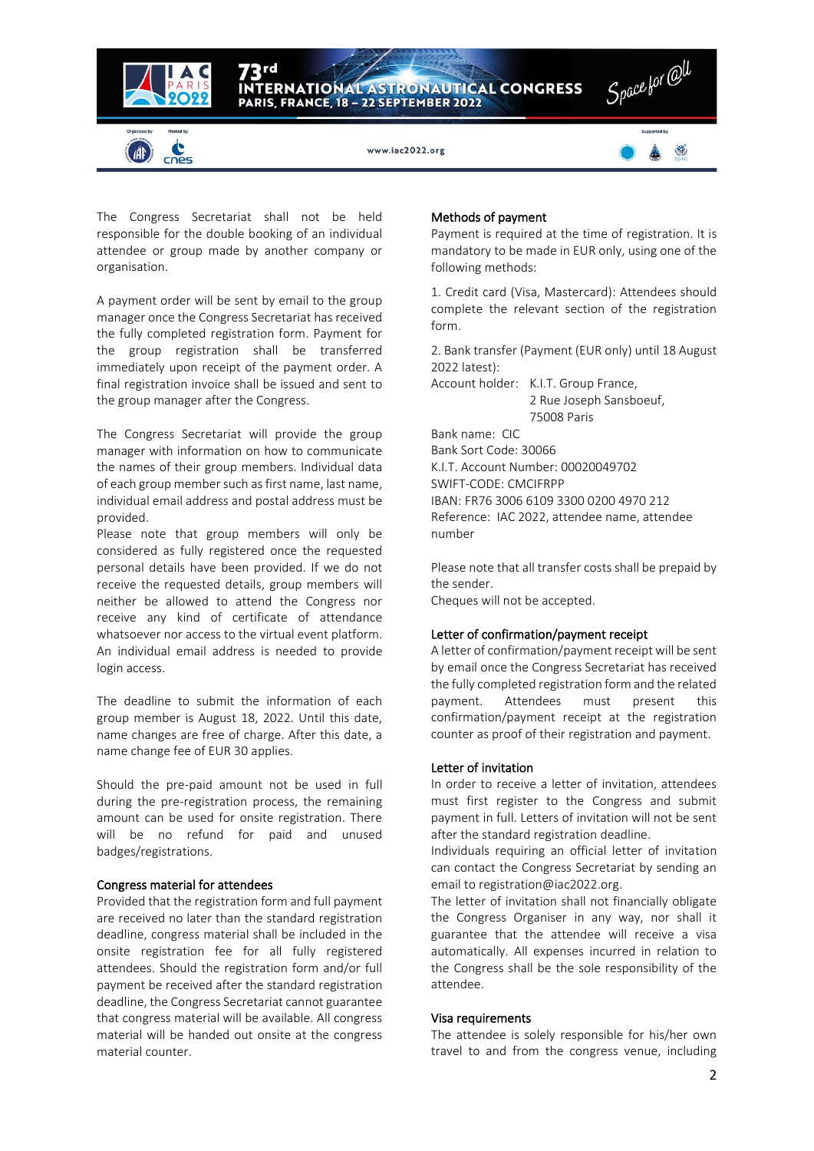

The Congress Secretariat shall not be held responsible for the double booking of an individual attendee or group made by another company or organisation.

A payment order will be sent by email to the group manager once the Congress Secretariat has received the fully completed registration form. Payment for the group registration shall be transferred immediately upon receipt of the payment order. A final registration invoice shall be issued and sent to the group manager after the Congress.

The Congress Secretariat will provide the group manager with information on how to communicate the names of their group members. Individual data of each group member such as first name, last name, individual email address and postal address must be provided.

Please note that group members will only be considered as fully registered once the requested personal details have been provided. If we do not receive the requested details, group members will neither be allowed to attend the Congress nor receive any kind of certificate of attendance whatsoever nor access to the virtual event platform. An individual email address is needed to provide login access.

The deadline to submit the information of each group member is August 18, 2022. Until this date, name changes are free of charge. After this date, a name change fee of EUR 30 applies.

Should the pre-paid amount not be used in full during the pre-registration process, the remaining amount can be used for onsite registration. There will be no refund for paid and unused badges/registrations.

## Congress material for attendees

Provided that the registration form and full payment are received no later than the standard registration deadline, congress material shall be included in the onsite registration fee for all fully registered attendees. Should the registration form and/or full payment be received after the standard registration deadline, the Congress Secretariat cannot guarantee that congress material will be available. All congress material will be handed out onsite at the congress material counter.

#### Methods of payment

Payment is required at the time of registration. It is mandatory to be made in EUR only, using one of the following methods:

1. Credit card (Visa, Mastercard): Attendees should complete the relevant section of the registration form.

2. Bank transfer (Payment (EUR only) until 18 August 2022 latest):

Account holder: K.I.T. Group France, 2 Rue Joseph Sansboeuf, 75008 Paris

Bank name: CIC Bank Sort Code: 30066 K.I.T. Account Number: 00020049702 SWIFT-CODE: CMCIFRPP IBAN: FR76 3006 6109 3300 0200 4970 212 Reference: IAC 2022, attendee name, attendee number

Please note that all transfer costs shall be prepaid by the sender. Cheques will not be accepted.

## Letter of confirmation/payment receipt

A letter of confirmation/payment receipt will be sent by email once the Congress Secretariat has received the fully completed registration form and the related payment. Attendees must present this confirmation/payment receipt at the registration counter as proof of their registration and payment.

#### Letter of invitation

In order to receive a letter of invitation, attendees must first register to the Congress and submit payment in full. Letters of invitation will not be sent after the standard registration deadline.

Individuals requiring an official letter of invitation can contact the Congress Secretariat by sending an email t[o registration@iac2022.org.](mailto:registration@iac2022.org)

The letter of invitation shall not financially obligate the Congress Organiser in any way, nor shall it guarantee that the attendee will receive a visa automatically. All expenses incurred in relation to the Congress shall be the sole responsibility of the attendee.

#### Visa requirements

The attendee is solely responsible for his/her own travel to and from the congress venue, including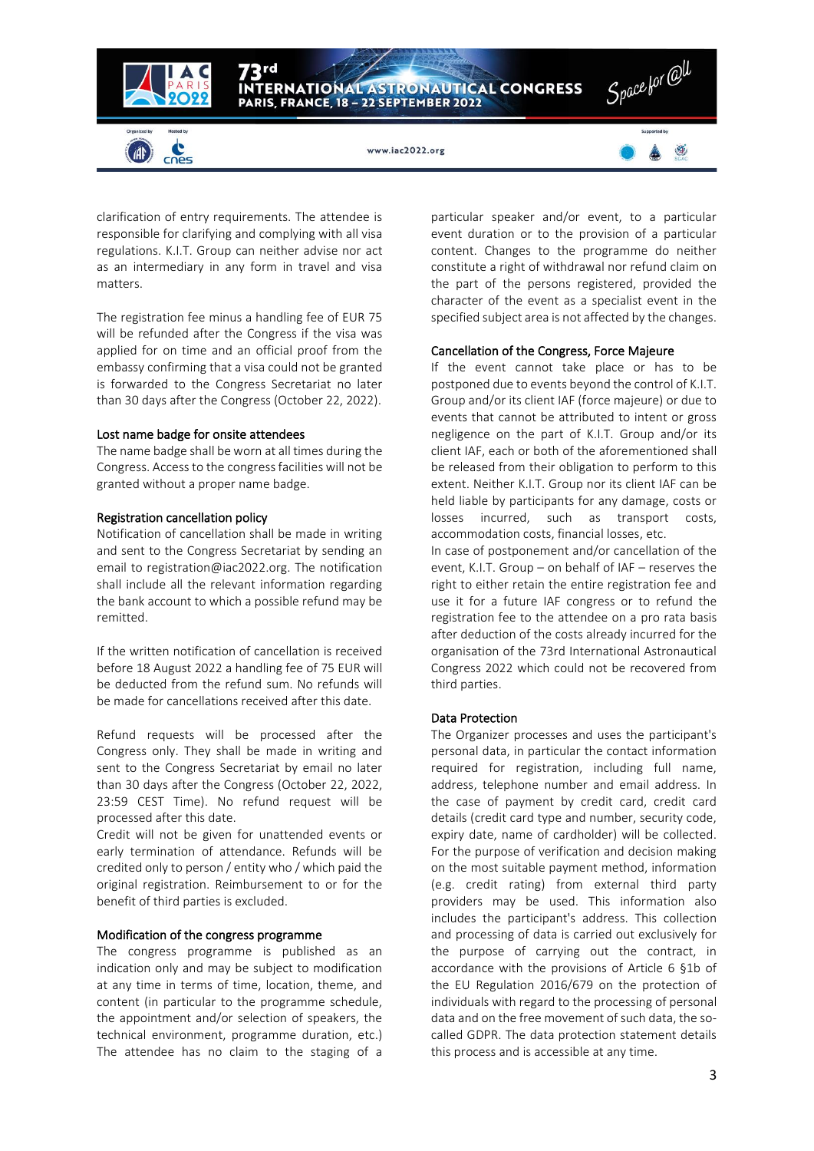

clarification of entry requirements. The attendee is responsible for clarifying and complying with all visa regulations. K.I.T. Group can neither advise nor act as an intermediary in any form in travel and visa matters.

The registration fee minus a handling fee of EUR 75 will be refunded after the Congress if the visa was applied for on time and an official proof from the embassy confirming that a visa could not be granted is forwarded to the Congress Secretariat no later than 30 days after the Congress (October 22, 2022).

#### Lost name badge for onsite attendees

The name badge shall be worn at all times during the Congress. Access to the congress facilities will not be granted without a proper name badge.

#### Registration cancellation policy

Notification of cancellation shall be made in writing and sent to the Congress Secretariat by sending an email to [registration@iac2022.org.](mailto:registration@iac2022.org) The notification shall include all the relevant information regarding the bank account to which a possible refund may be remitted.

If the written notification of cancellation is received before 18 August 2022 a handling fee of 75 EUR will be deducted from the refund sum. No refunds will be made for cancellations received after this date.

Refund requests will be processed after the Congress only. They shall be made in writing and sent to the Congress Secretariat by email no later than 30 days after the Congress (October 22, 2022, 23:59 CEST Time). No refund request will be processed after this date.

Credit will not be given for unattended events or early termination of attendance. Refunds will be credited only to person / entity who / which paid the original registration. Reimbursement to or for the benefit of third parties is excluded.

#### Modification of the congress programme

The congress programme is published as an indication only and may be subject to modification at any time in terms of time, location, theme, and content (in particular to the programme schedule, the appointment and/or selection of speakers, the technical environment, programme duration, etc.) The attendee has no claim to the staging of a

particular speaker and/or event, to a particular event duration or to the provision of a particular content. Changes to the programme do neither constitute a right of withdrawal nor refund claim on the part of the persons registered, provided the character of the event as a specialist event in the specified subject area is not affected by the changes.

#### Cancellation of the Congress, Force Majeure

If the event cannot take place or has to be postponed due to events beyond the control of K.I.T. Group and/or its client IAF (force majeure) or due to events that cannot be attributed to intent or gross negligence on the part of K.I.T. Group and/or its client IAF, each or both of the aforementioned shall be released from their obligation to perform to this extent. Neither K.I.T. Group nor its client IAF can be held liable by participants for any damage, costs or losses incurred, such as transport costs, accommodation costs, financial losses, etc.

In case of postponement and/or cancellation of the event, K.I.T. Group – on behalf of IAF – reserves the right to either retain the entire registration fee and use it for a future IAF congress or to refund the registration fee to the attendee on a pro rata basis after deduction of the costs already incurred for the organisation of the 73rd International Astronautical Congress 2022 which could not be recovered from third parties.

#### Data Protection

The Organizer processes and uses the participant's personal data, in particular the contact information required for registration, including full name, address, telephone number and email address. In the case of payment by credit card, credit card details (credit card type and number, security code, expiry date, name of cardholder) will be collected. For the purpose of verification and decision making on the most suitable payment method, information (e.g. credit rating) from external third party providers may be used. This information also includes the participant's address. This collection and processing of data is carried out exclusively for the purpose of carrying out the contract, in accordance with the provisions of Article 6 §1b of the EU Regulation 2016/679 on the protection of individuals with regard to the processing of personal data and on the free movement of such data, the socalled GDPR. The data protection statement details this process and is accessible at any time.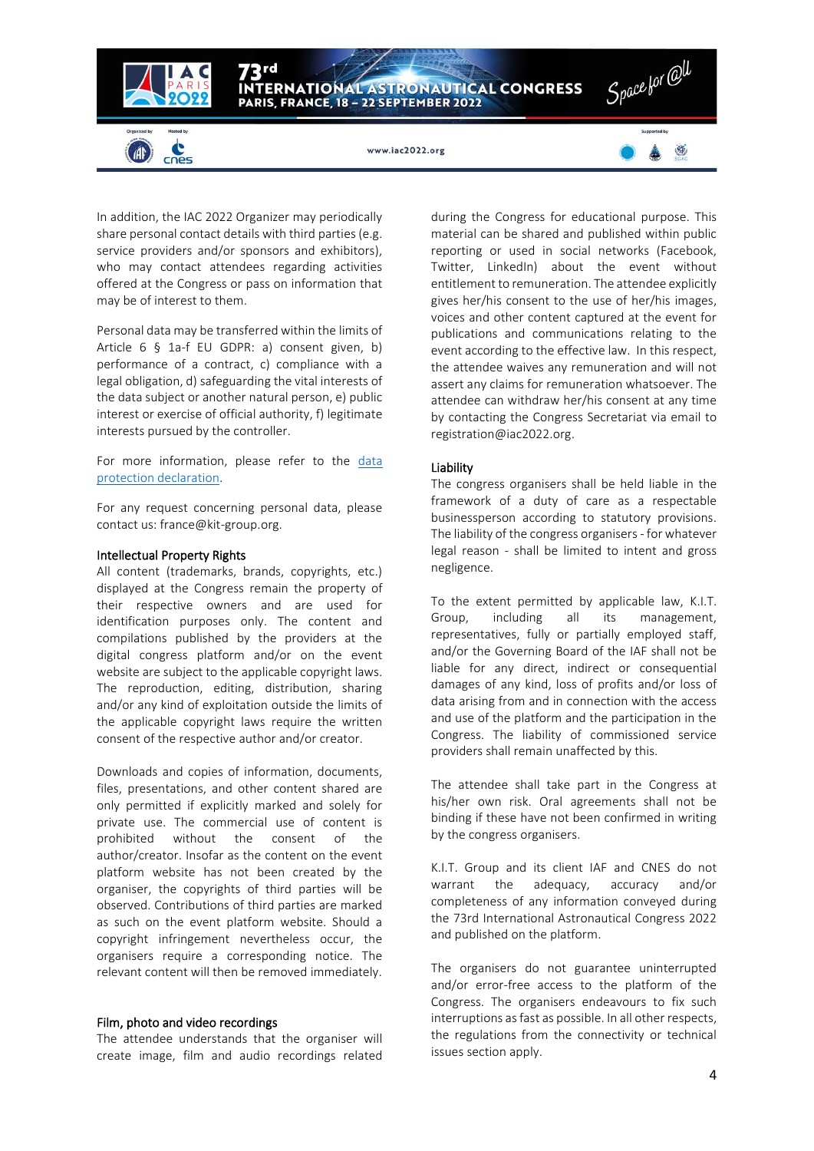

In addition, the IAC 2022 Organizer may periodically share personal contact details with third parties (e.g. service providers and/or sponsors and exhibitors), who may contact attendees regarding activities offered at the Congress or pass on information that may be of interest to them.

Personal data may be transferred within the limits of Article 6 § 1a-f EU GDPR: a) consent given, b) performance of a contract, c) compliance with a legal obligation, d) safeguarding the vital interests of the data subject or another natural person, e) public interest or exercise of official authority, f) legitimate interests pursued by the controller.

For more information, please refer to the [data](https://iac2022.org/privacy-policy/)  [protection declaration.](https://iac2022.org/privacy-policy/)

For any request concerning personal data, please contact us: france@kit-group.org.

#### Intellectual Property Rights

All content (trademarks, brands, copyrights, etc.) displayed at the Congress remain the property of their respective owners and are used for identification purposes only. The content and compilations published by the providers at the digital congress platform and/or on the event website are subject to the applicable copyright laws. The reproduction, editing, distribution, sharing and/or any kind of exploitation outside the limits of the applicable copyright laws require the written consent of the respective author and/or creator.

Downloads and copies of information, documents, files, presentations, and other content shared are only permitted if explicitly marked and solely for private use. The commercial use of content is prohibited without the consent of the author/creator. Insofar as the content on the event platform website has not been created by the organiser, the copyrights of third parties will be observed. Contributions of third parties are marked as such on the event platform website. Should a copyright infringement nevertheless occur, the organisers require a corresponding notice. The relevant content will then be removed immediately.

#### Film, photo and video recordings

The attendee understands that the organiser will create image, film and audio recordings related during the Congress for educational purpose. This material can be shared and published within public reporting or used in social networks (Facebook, Twitter, LinkedIn) about the event without entitlement to remuneration. The attendee explicitly gives her/his consent to the use of her/his images, voices and other content captured at the event for publications and communications relating to the event according to the effective law. In this respect, the attendee waives any remuneration and will not assert any claims for remuneration whatsoever. The attendee can withdraw her/his consent at any time by contacting the Congress Secretariat via email to [registration@iac2022.org.](mailto:registration@iac2022.org)

#### Liability

The congress organisers shall be held liable in the framework of a duty of care as a respectable businessperson according to statutory provisions. The liability of the congress organisers - for whatever legal reason - shall be limited to intent and gross negligence.

To the extent permitted by applicable law, K.I.T. Group, including all its management, representatives, fully or partially employed staff, and/or the Governing Board of the IAF shall not be liable for any direct, indirect or consequential damages of any kind, loss of profits and/or loss of data arising from and in connection with the access and use of the platform and the participation in the Congress. The liability of commissioned service providers shall remain unaffected by this.

The attendee shall take part in the Congress at his/her own risk. Oral agreements shall not be binding if these have not been confirmed in writing by the congress organisers.

K.I.T. Group and its client IAF and CNES do not warrant the adequacy, accuracy and/or completeness of any information conveyed during the 73rd International Astronautical Congress 2022 and published on the platform.

The organisers do not guarantee uninterrupted and/or error-free access to the platform of the Congress. The organisers endeavours to fix such interruptions as fast as possible. In all other respects, the regulations from the connectivity or technical issues section apply.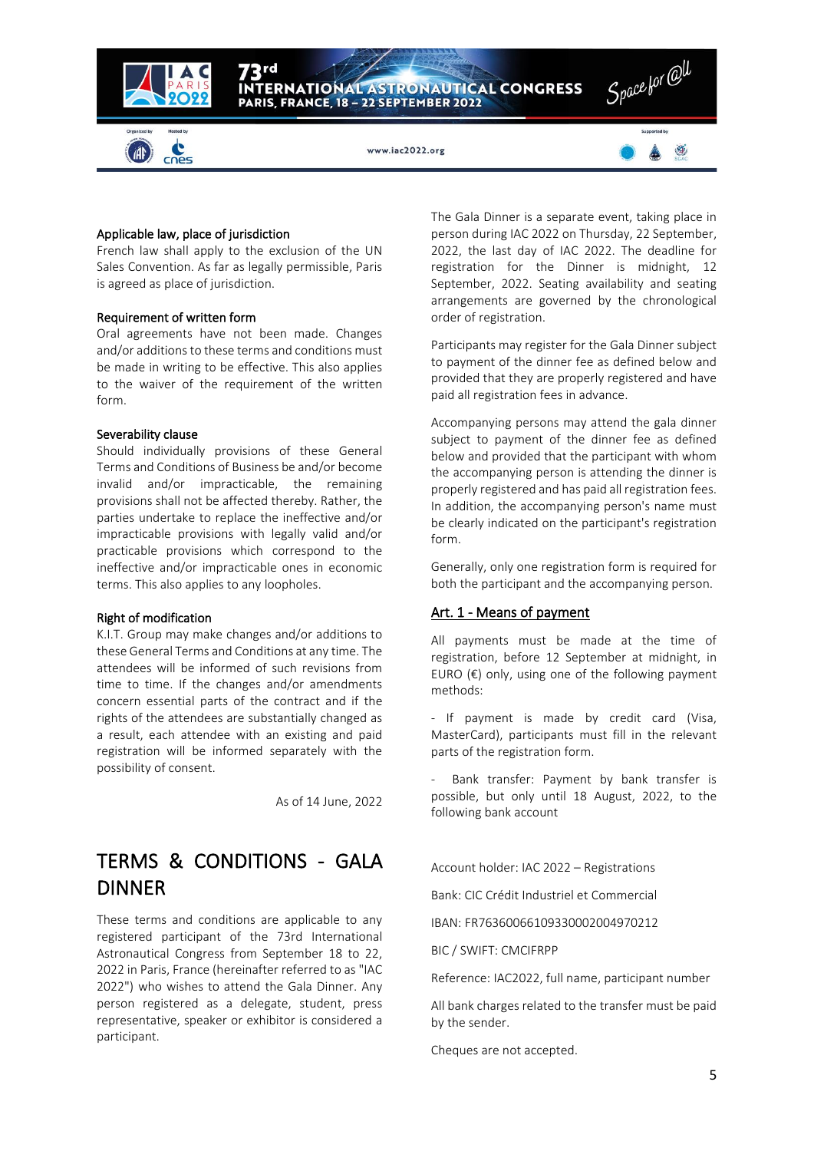

#### Applicable law, place of jurisdiction

French law shall apply to the exclusion of the UN Sales Convention. As far as legally permissible, Paris is agreed as place of jurisdiction.

#### Requirement of written form

Oral agreements have not been made. Changes and/or additions to these terms and conditions must be made in writing to be effective. This also applies to the waiver of the requirement of the written form.

#### Severability clause

Should individually provisions of these General Terms and Conditions of Business be and/or become invalid and/or impracticable, the remaining provisions shall not be affected thereby. Rather, the parties undertake to replace the ineffective and/or impracticable provisions with legally valid and/or practicable provisions which correspond to the ineffective and/or impracticable ones in economic terms. This also applies to any loopholes.

#### Right of modification

K.I.T. Group may make changes and/or additions to these General Terms and Conditions at any time. The attendees will be informed of such revisions from time to time. If the changes and/or amendments concern essential parts of the contract and if the rights of the attendees are substantially changed as a result, each attendee with an existing and paid registration will be informed separately with the possibility of consent.

As of 14 June, 2022

# TERMS & CONDITIONS - GALA DINNER

These terms and conditions are applicable to any registered participant of the 73rd International Astronautical Congress from September 18 to 22, 2022 in Paris, France (hereinafter referred to as "IAC 2022") who wishes to attend the Gala Dinner. Any person registered as a delegate, student, press representative, speaker or exhibitor is considered a participant.

The Gala Dinner is a separate event, taking place in person during IAC 2022 on Thursday, 22 September, 2022, the last day of IAC 2022. The deadline for registration for the Dinner is midnight, 12 September, 2022. Seating availability and seating arrangements are governed by the chronological order of registration.

Participants may register for the Gala Dinner subject to payment of the dinner fee as defined below and provided that they are properly registered and have paid all registration fees in advance.

Accompanying persons may attend the gala dinner subject to payment of the dinner fee as defined below and provided that the participant with whom the accompanying person is attending the dinner is properly registered and has paid all registration fees. In addition, the accompanying person's name must be clearly indicated on the participant's registration form.

Generally, only one registration form is required for both the participant and the accompanying person.

#### Art. 1 - Means of payment

All payments must be made at the time of registration, before 12 September at midnight, in EURO  $(\epsilon)$  only, using one of the following payment methods:

- If payment is made by credit card (Visa, MasterCard), participants must fill in the relevant parts of the registration form.

Bank transfer: Payment by bank transfer is possible, but only until 18 August, 2022, to the following bank account

Account holder: IAC 2022 – Registrations

Bank: CIC Crédit Industriel et Commercial

IBAN: FR76360066109330002004970212

BIC / SWIFT: CMCIFRPP

Reference: IAC2022, full name, participant number

All bank charges related to the transfer must be paid by the sender.

Cheques are not accepted.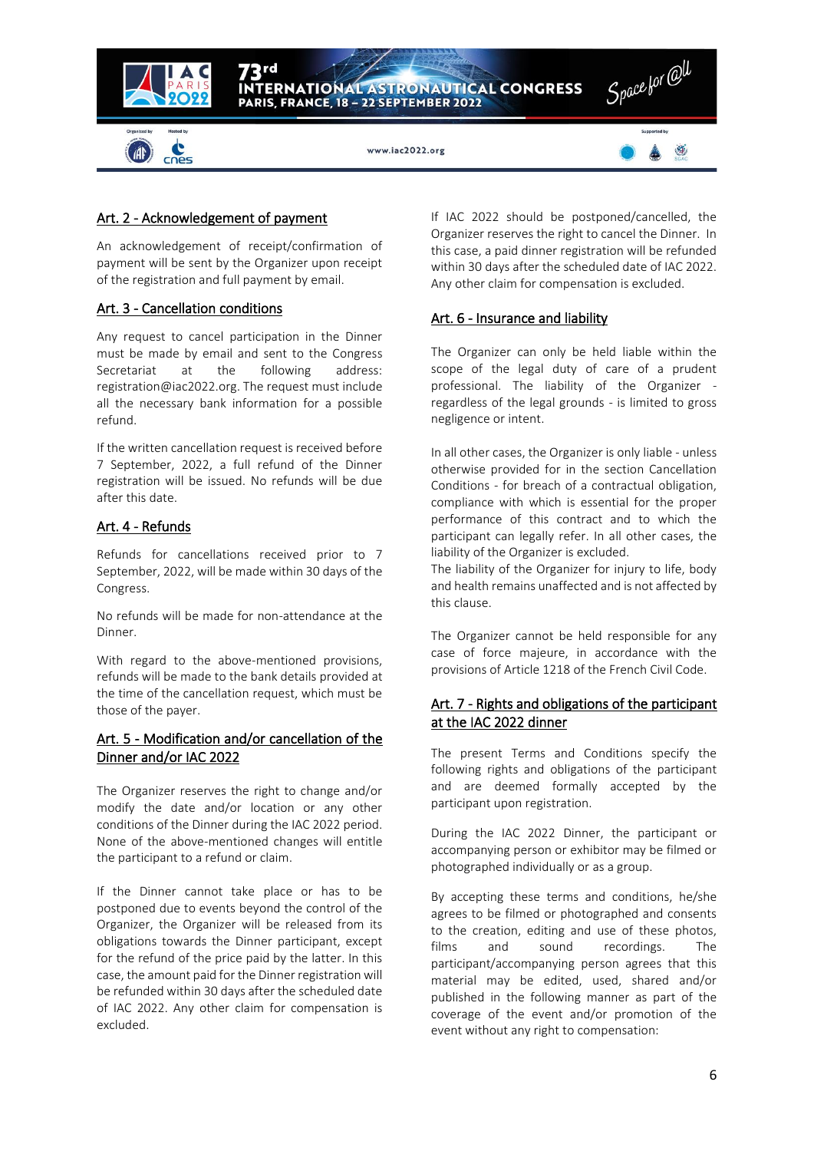

# Art. 2 - Acknowledgement of payment

An acknowledgement of receipt/confirmation of payment will be sent by the Organizer upon receipt of the registration and full payment by email.

# Art. 3 - Cancellation conditions

Any request to cancel participation in the Dinner must be made by email and sent to the Congress Secretariat at the following address: registration@iac2022.org. The request must include all the necessary bank information for a possible refund.

If the written cancellation request is received before 7 September, 2022, a full refund of the Dinner registration will be issued. No refunds will be due after this date.

# Art. 4 - Refunds

Refunds for cancellations received prior to 7 September, 2022, will be made within 30 days of the Congress.

No refunds will be made for non-attendance at the **Dinner** 

With regard to the above-mentioned provisions, refunds will be made to the bank details provided at the time of the cancellation request, which must be those of the payer.

# Art. 5 - Modification and/or cancellation of the Dinner and/or IAC 2022

The Organizer reserves the right to change and/or modify the date and/or location or any other conditions of the Dinner during the IAC 2022 period. None of the above-mentioned changes will entitle the participant to a refund or claim.

If the Dinner cannot take place or has to be postponed due to events beyond the control of the Organizer, the Organizer will be released from its obligations towards the Dinner participant, except for the refund of the price paid by the latter. In this case, the amount paid for the Dinner registration will be refunded within 30 days after the scheduled date of IAC 2022. Any other claim for compensation is excluded.

If IAC 2022 should be postponed/cancelled, the Organizer reserves the right to cancel the Dinner. In this case, a paid dinner registration will be refunded within 30 days after the scheduled date of IAC 2022. Any other claim for compensation is excluded.

# Art. 6 - Insurance and liability

The Organizer can only be held liable within the scope of the legal duty of care of a prudent professional. The liability of the Organizer regardless of the legal grounds - is limited to gross negligence or intent.

In all other cases, the Organizer is only liable - unless otherwise provided for in the section Cancellation Conditions - for breach of a contractual obligation, compliance with which is essential for the proper performance of this contract and to which the participant can legally refer. In all other cases, the liability of the Organizer is excluded.

The liability of the Organizer for injury to life, body and health remains unaffected and is not affected by this clause.

The Organizer cannot be held responsible for any case of force majeure, in accordance with the provisions of Article 1218 of the French Civil Code.

# Art. 7 - Rights and obligations of the participant at the IAC 2022 dinner

The present Terms and Conditions specify the following rights and obligations of the participant and are deemed formally accepted by the participant upon registration.

During the IAC 2022 Dinner, the participant or accompanying person or exhibitor may be filmed or photographed individually or as a group.

By accepting these terms and conditions, he/she agrees to be filmed or photographed and consents to the creation, editing and use of these photos, films and sound recordings. The participant/accompanying person agrees that this material may be edited, used, shared and/or published in the following manner as part of the coverage of the event and/or promotion of the event without any right to compensation: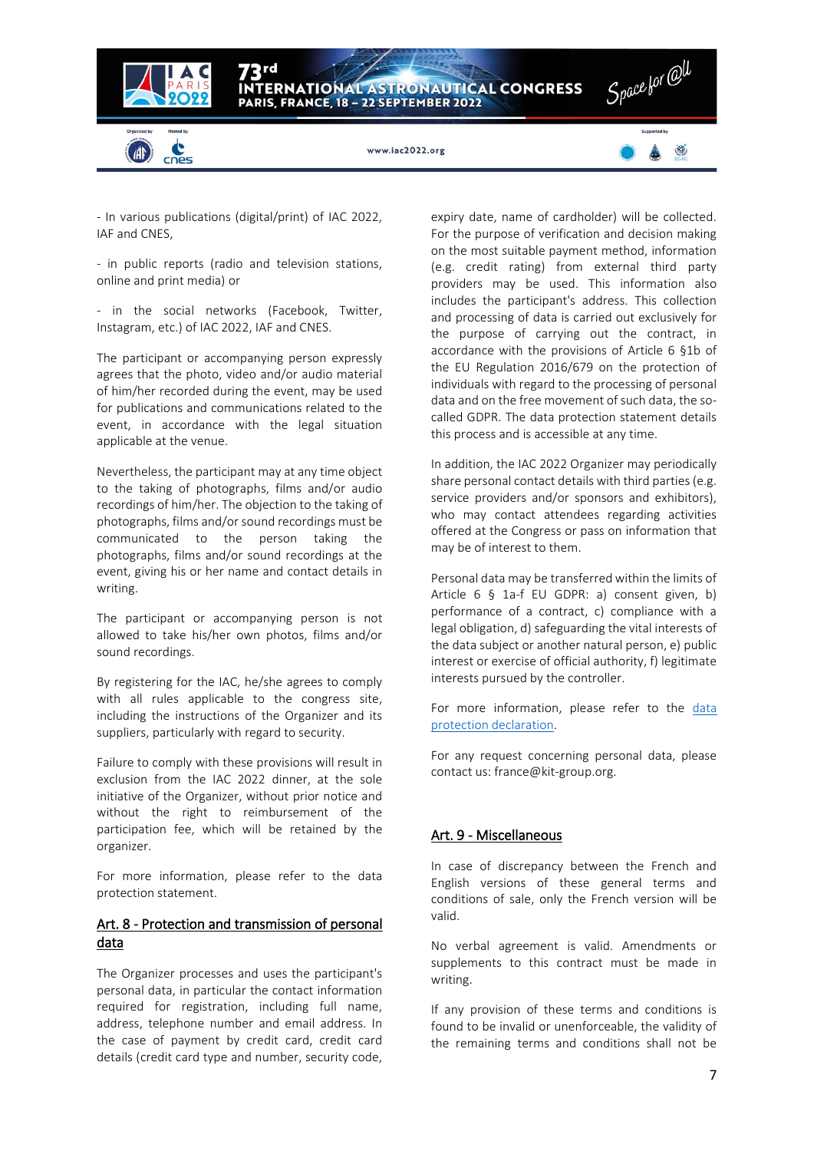

- In various publications (digital/print) of IAC 2022, IAF and CNES,

- in public reports (radio and television stations, online and print media) or

- in the social networks (Facebook, Twitter, Instagram, etc.) of IAC 2022, IAF and CNES.

The participant or accompanying person expressly agrees that the photo, video and/or audio material of him/her recorded during the event, may be used for publications and communications related to the event, in accordance with the legal situation applicable at the venue.

Nevertheless, the participant may at any time object to the taking of photographs, films and/or audio recordings of him/her. The objection to the taking of photographs, films and/or sound recordings must be communicated to the person taking the photographs, films and/or sound recordings at the event, giving his or her name and contact details in writing.

The participant or accompanying person is not allowed to take his/her own photos, films and/or sound recordings.

By registering for the IAC, he/she agrees to comply with all rules applicable to the congress site, including the instructions of the Organizer and its suppliers, particularly with regard to security.

Failure to comply with these provisions will result in exclusion from the IAC 2022 dinner, at the sole initiative of the Organizer, without prior notice and without the right to reimbursement of the participation fee, which will be retained by the organizer.

For more information, please refer to the data protection statement.

# Art. 8 - Protection and transmission of personal data

The Organizer processes and uses the participant's personal data, in particular the contact information required for registration, including full name, address, telephone number and email address. In the case of payment by credit card, credit card details (credit card type and number, security code,

expiry date, name of cardholder) will be collected. For the purpose of verification and decision making on the most suitable payment method, information (e.g. credit rating) from external third party providers may be used. This information also includes the participant's address. This collection and processing of data is carried out exclusively for the purpose of carrying out the contract, in accordance with the provisions of Article 6 §1b of the EU Regulation 2016/679 on the protection of individuals with regard to the processing of personal data and on the free movement of such data, the socalled GDPR. The data protection statement details this process and is accessible at any time.

In addition, the IAC 2022 Organizer may periodically share personal contact details with third parties (e.g. service providers and/or sponsors and exhibitors), who may contact attendees regarding activities offered at the Congress or pass on information that may be of interest to them.

Personal data may be transferred within the limits of Article 6 § 1a-f EU GDPR: a) consent given, b) performance of a contract, c) compliance with a legal obligation, d) safeguarding the vital interests of the data subject or another natural person, e) public interest or exercise of official authority, f) legitimate interests pursued by the controller.

For more information, please refer to the data [protection declaration.](https://iac2022.org/privacy-policy/)

For any request concerning personal data, please contact us: france@kit-group.org.

# Art. 9 - Miscellaneous

In case of discrepancy between the French and English versions of these general terms and conditions of sale, only the French version will be valid.

No verbal agreement is valid. Amendments or supplements to this contract must be made in writing.

If any provision of these terms and conditions is found to be invalid or unenforceable, the validity of the remaining terms and conditions shall not be